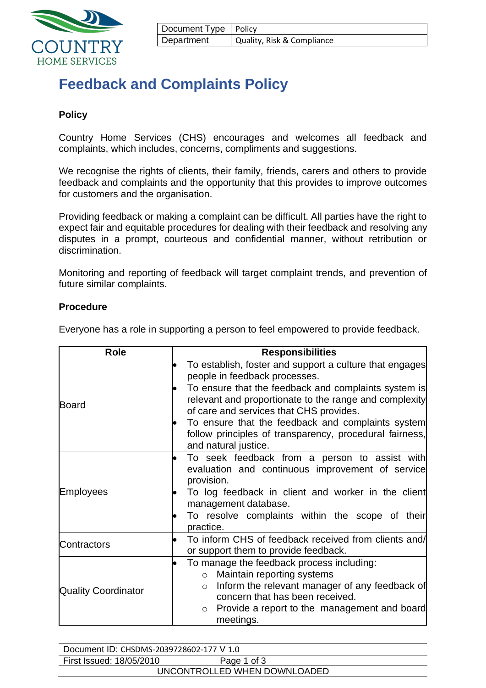

| Document Type   Policy |                            |
|------------------------|----------------------------|
| Department             | Quality, Risk & Compliance |

# **Feedback and Complaints Policy**

## **Policy**

Country Home Services (CHS) encourages and welcomes all feedback and complaints, which includes, concerns, compliments and suggestions.

We recognise the rights of clients, their family, friends, carers and others to provide feedback and complaints and the opportunity that this provides to improve outcomes for customers and the organisation.

Providing feedback or making a complaint can be difficult. All parties have the right to expect fair and equitable procedures for dealing with their feedback and resolving any disputes in a prompt, courteous and confidential manner, without retribution or discrimination.

Monitoring and reporting of feedback will target complaint trends, and prevention of future similar complaints.

### **Procedure**

Everyone has a role in supporting a person to feel empowered to provide feedback.

| <b>Role</b>                | <b>Responsibilities</b>                                                                                                                                                                                                                                                                                                                                                                       |  |  |
|----------------------------|-----------------------------------------------------------------------------------------------------------------------------------------------------------------------------------------------------------------------------------------------------------------------------------------------------------------------------------------------------------------------------------------------|--|--|
| Board                      | To establish, foster and support a culture that engages<br>people in feedback processes.<br>To ensure that the feedback and complaints system is<br>relevant and proportionate to the range and complexity<br>of care and services that CHS provides.<br>To ensure that the feedback and complaints system<br>follow principles of transparency, procedural fairness,<br>and natural justice. |  |  |
| <b>Employees</b>           | To seek feedback from a person to assist with<br>evaluation and continuous improvement of service<br>provision.<br>To log feedback in client and worker in the client<br>management database.<br>To resolve complaints within the scope of their<br>practice.                                                                                                                                 |  |  |
| Contractors                | To inform CHS of feedback received from clients and/<br>or support them to provide feedback.                                                                                                                                                                                                                                                                                                  |  |  |
| <b>Quality Coordinator</b> | To manage the feedback process including:<br>o Maintain reporting systems<br>Inform the relevant manager of any feedback of<br>$\circ$<br>concern that has been received.<br>Provide a report to the management and board<br>$\circ$<br>meetings.                                                                                                                                             |  |  |

| Document ID: CHSDMS-2039728602-177 V 1.0 |             |  |  |
|------------------------------------------|-------------|--|--|
| First Issued: 18/05/2010                 | Page 1 of 3 |  |  |
| UNCONTROLLED WHEN DOWNLOADED             |             |  |  |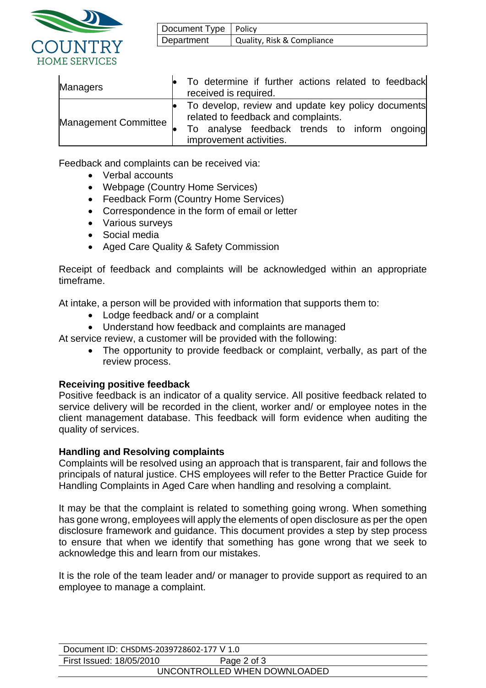

| Document Type   Policy |                            |
|------------------------|----------------------------|
| Department             | Quality, Risk & Compliance |

| <b>Managers</b>             | To determine if further actions related to feedback<br>received is required.                                                                                         |
|-----------------------------|----------------------------------------------------------------------------------------------------------------------------------------------------------------------|
| <b>Management Committee</b> | To develop, review and update key policy documents<br>related to feedback and complaints.<br>To analyse feedback trends to inform ongoing<br>improvement activities. |

Feedback and complaints can be received via:

- Verbal accounts
- Webpage (Country Home Services)
- Feedback Form (Country Home Services)
- Correspondence in the form of email or letter
- Various surveys
- Social media
- Aged Care Quality & Safety Commission

Receipt of feedback and complaints will be acknowledged within an appropriate timeframe.

At intake, a person will be provided with information that supports them to:

- Lodge feedback and/ or a complaint
- Understand how feedback and complaints are managed

At service review, a customer will be provided with the following:

• The opportunity to provide feedback or complaint, verbally, as part of the review process.

## **Receiving positive feedback**

Positive feedback is an indicator of a quality service. All positive feedback related to service delivery will be recorded in the client, worker and/ or employee notes in the client management database. This feedback will form evidence when auditing the quality of services.

## **Handling and Resolving complaints**

Complaints will be resolved using an approach that is transparent, fair and follows the principals of natural justice. CHS employees will refer to the Better Practice Guide for Handling Complaints in Aged Care when handling and resolving a complaint.

It may be that the complaint is related to something going wrong. When something has gone wrong, employees will apply the elements of open disclosure as per the open disclosure framework and guidance. This document provides a step by step process to ensure that when we identify that something has gone wrong that we seek to acknowledge this and learn from our mistakes.

It is the role of the team leader and/ or manager to provide support as required to an employee to manage a complaint.

| Document ID: CHSDMS-2039728602-177 V 1.0 |             |  |  |
|------------------------------------------|-------------|--|--|
| First Issued: 18/05/2010                 | Page 2 of 3 |  |  |
| UNCONTROLLED WHEN DOWNLOADED             |             |  |  |